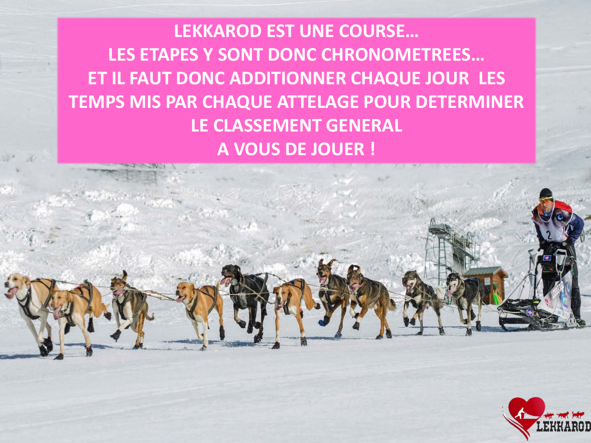**LEKKAROD EST UNE COURSE… LES ETAPES Y SONT DONC CHRONOMETREES… ET IL FAUT DONC ADDITIONNER CHAQUE JOUR LES TEMPS MIS PAR CHAQUE ATTELAGE POUR DETERMINER LE CLASSEMENT GENERAL A VOUS DE JOUER !**

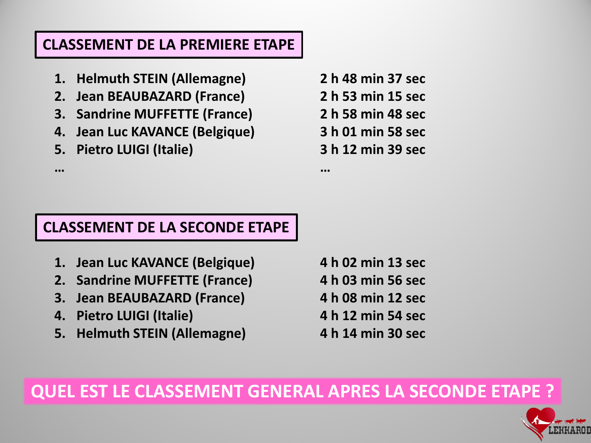### **CLASSEMENT DE LA PREMIERE ETAPE**

- **1. Helmuth STEIN (Allemagne)**
- **2. Jean BEAUBAZARD (France)**
- **3. Sandrine MUFFETTE (France)**
- **4. Jean Luc KAVANCE (Belgique)**
- **5. Pietro LUIGI (Italie)**

**…**

**2 h 48 min 37 sec 2 h 53 min 15 sec 2 h 58 min 48 sec 3 h 01 min 58 sec 3 h 12 min 39 sec**

**…**

### **CLASSEMENT DE LA SECONDE ETAPE**

- **1. Jean Luc KAVANCE (Belgique)**
- **2. Sandrine MUFFETTE (France)**
- **3. Jean BEAUBAZARD (France)**
- **4. Pietro LUIGI (Italie)**
- **5. Helmuth STEIN (Allemagne)**

**4 h 02 min 13 sec**

- **4 h 03 min 56 sec**
- **4 h 08 min 12 sec**
- **4 h 12 min 54 sec**
- **4 h 14 min 30 sec**

## **QUEL EST LE CLASSEMENT GENERAL APRES LA SECONDE ETAPE ?**

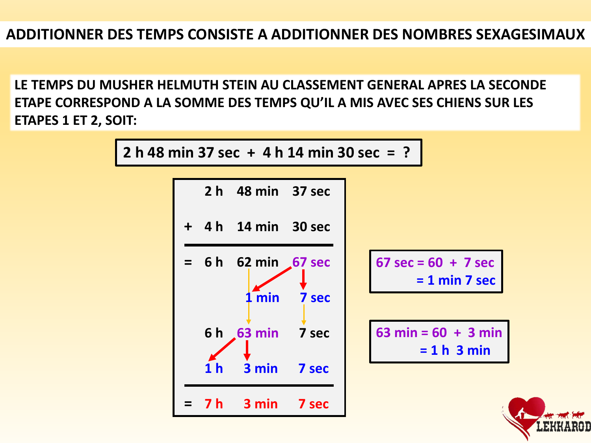**LE TEMPS DU MUSHER HELMUTH STEIN AU CLASSEMENT GENERAL APRES LA SECONDE ETAPE CORRESPOND A LA SOMME DES TEMPS QU'IL A MIS AVEC SES CHIENS SUR LES ETAPES 1 ET 2, SOIT:**



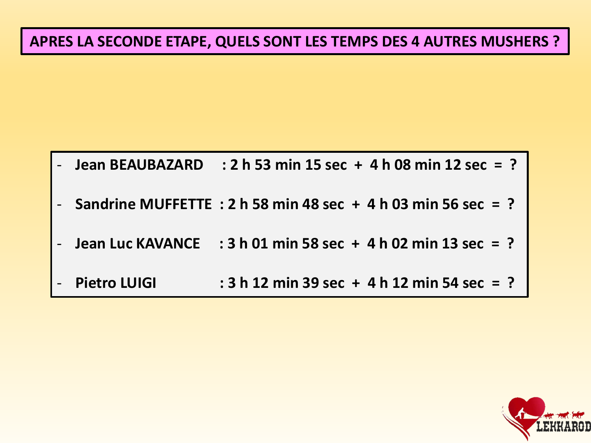## **APRES LA SECONDE ETAPE, QUELS SONT LES TEMPS DES 4 AUTRES MUSHERS ?**

| - Jean BEAUBAZARD | : 2 h 53 min 15 sec + 4 h 08 min 12 sec = ?                      |
|-------------------|------------------------------------------------------------------|
|                   | - Sandrine MUFFETTE : 2 h 58 min 48 sec + 4 h 03 min 56 sec = ?  |
|                   | - Jean Luc KAVANCE : $3 h 01 min 58 sec + 4 h 02 min 13 sec = ?$ |
| - Pietro LUIGI    | : 3 h 12 min 39 sec + 4 h 12 min 54 sec = ?                      |

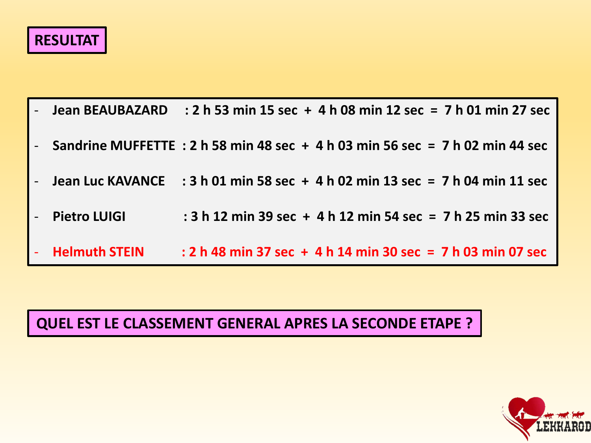# **RESULTAT**

| - Jean BEAUBAZARD : 2 h 53 min 15 sec + 4 h 08 min 12 sec = 7 h 01 min 27 sec             |                                                             |  |
|-------------------------------------------------------------------------------------------|-------------------------------------------------------------|--|
| - Sandrine MUFFETTE : 2 h 58 min 48 sec $+$ 4 h 03 min 56 sec = 7 h 02 min 44 sec         |                                                             |  |
| - Jean Luc KAVANCE $\therefore$ 3 h 01 min 58 sec + 4 h 02 min 13 sec = 7 h 04 min 11 sec |                                                             |  |
| - Pietro LUIGI                                                                            | : 3 h 12 min 39 sec + 4 h 12 min 54 sec = 7 h 25 min 33 sec |  |
| - Helmuth STEIN                                                                           | : 2 h 48 min 37 sec + 4 h 14 min 30 sec = 7 h 03 min 07 sec |  |

## **QUEL EST LE CLASSEMENT GENERAL APRES LA SECONDE ETAPE ?**

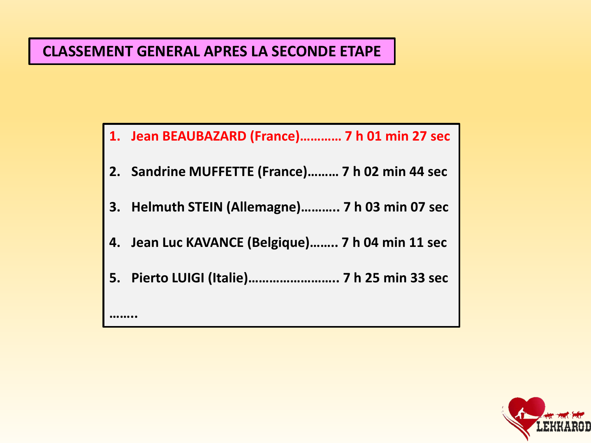### **CLASSEMENT GENERAL APRES LA SECONDE ETAPE**

**……..**

- **1. Jean BEAUBAZARD (France)………… 7 h 01 min 27 sec**
- **2. Sandrine MUFFETTE (France)……… 7 h 02 min 44 sec**
- **3. Helmuth STEIN (Allemagne)……….. 7 h 03 min 07 sec**
- **4. Jean Luc KAVANCE (Belgique)…….. 7 h 04 min 11 sec**
- **5. Pierto LUIGI (Italie)…………………….. 7 h 25 min 33 sec**

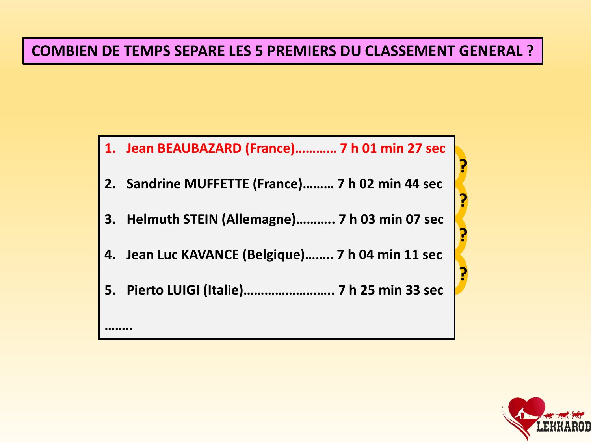### **COMBIEN DE TEMPS SEPARE LES 5 PREMIERS DU CLASSEMENT GENERAL ?**



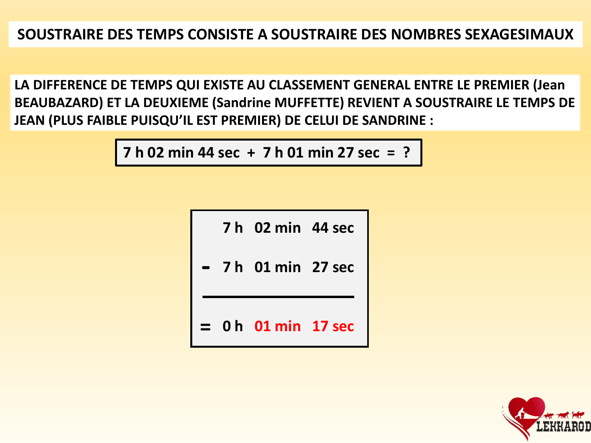**LA DIFFERENCE DE TEMPS QUI EXISTE AU CLASSEMENT GENERAL ENTRE LE PREMIER (Jean BEAUBAZARD) ET LA DEUXIEME (Sandrine MUFFETTE) REVIENT A SOUSTRAIRE LE TEMPS DE JEAN (PLUS FAIBLE PUISQU'IL EST PREMIER) DE CELUI DE SANDRINE :**

**7 h 02 min 44 sec + 7 h 01 min 27 sec = ?** 

**7 h 02 min 44 sec**

**7 h 01 min 27 sec -**

**= 0 h 01 min 17 sec**

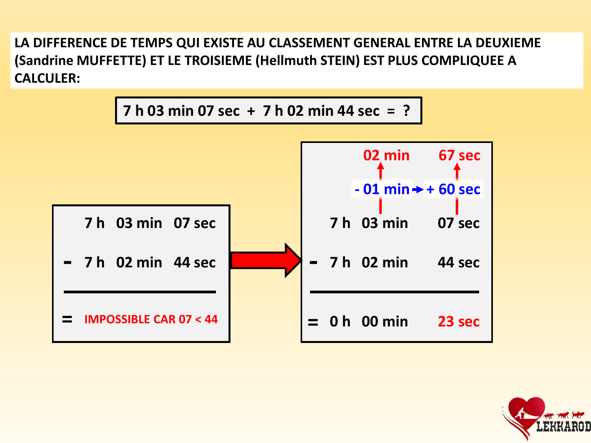**LA DIFFERENCE DE TEMPS QUI EXISTE AU CLASSEMENT GENERAL ENTRE LA DEUXIEME (Sandrine MUFFETTE) ET LE TROISIEME (Hellmuth STEIN) EST PLUS COMPLIQUEE A CALCULER:**